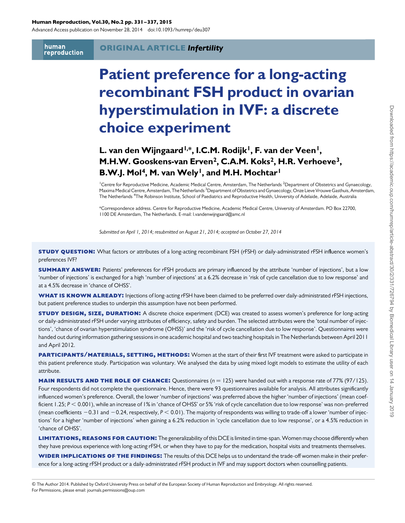#### Human Reproduction, Vol.30, No.2 pp. 331–337, 2015

Advanced Access publication on November 28, 2014 doi:10.1093/humrep/deu307

human reproduction

#### ORIGINAL ARTICLE Infertility

# Patient preference for a long-acting recombinant FSH product in ovarian hyperstimulation in IVF: a discrete choice experiment

# L. van den Wijngaard<sup>1,\*</sup>, I.C.M. Rodijk<sup>1</sup>, F. van der Veen<sup>1</sup>, M.H.W. Gooskens-van Erven<sup>2</sup>, C.A.M. Koks<sup>2</sup>, H.R. Verhoeve<sup>3</sup>, B.W.J. Mol<sup>4</sup>, M. van Wely<sup>1</sup>, and M.H. Mochtar<sup>1</sup>

<sup>1</sup> Centre for Reproductive Medicine, Academic Medical Centre, Amsterdam, The Netherlands <sup>2</sup> Department of Obstetrics and Gynaecology, Maxima Medical Centre, Amsterdam, The Netherlands <sup>3</sup>Department of Obstetrics and Gynaecology, Onze Lieve Vrouwe Gasthuis, Amsterdam, The Netherlands <sup>4</sup>The Robinson Institute, School of Paediatrics and Reproductive Health, University of Adelaide, Adelaide, Australia

\*Correspondence address. Centre for Reproductive Medicine, Academic Medical Centre, University of Amsterdam. PO Box 22700, 1100 DE Amsterdam, The Netherlands. E-mail: l.vandenwijngaard@amc.nl

Submitted on April 1, 2014; resubmitted on August 21, 2014; accepted on October 27, 2014

**STUDY QUESTION:** What factors or attributes of a long-acting recombinant FSH (rFSH) or daily-administrated rFSH influence women's preferences IVF?

**SUMMARY ANSWER:** Patients' preferences for rFSH products are primary influenced by the attribute 'number of injections', but a low 'number of injections' is exchanged for a high 'number of injections' at a 6.2% decrease in 'risk of cycle cancellation due to low response' and at a 4.5% decrease in 'chance of OHSS'.

WHAT IS KNOWN ALREADY: Injections of long-acting rFSH have been claimed to be preferred over daily-administrated rFSH injections, but patient preference studies to underpin this assumption have not been performed.

**STUDY DESIGN, SIZE, DURATION:** A discrete choice experiment (DCE) was created to assess women's preference for long-acting or daily-administrated rFSH under varying attributes of efficiency, safety and burden. The selected attributes were the 'total number of injections', 'chance of ovarian hyperstimulation syndrome (OHSS)' and the 'risk of cycle cancellation due to low response'. Questionnaires were handed out during information gathering sessions in one academic hospital and two teaching hospitals in The Netherlands between April 2011 and April 2012.

PARTICIPANTS/MATERIALS, SETTING, METHODS: Women at the start of their first IVF treatment were asked to participate in this patient preference study. Participation was voluntary. We analysed the data by using mixed logit models to estimate the utility of each attribute.

**MAIN RESULTS AND THE ROLE OF CHANCE:** Questionnaires ( $n = 125$ ) were handed out with a response rate of 77% (97/125). Four respondents did not complete the questionnaire. Hence, there were 93 questionnaires available for analysis. All attributes significantly influenced women's preference. Overall, the lower 'number of injections' was preferred above the higher 'number of injections' (mean coefficient 1.25;  $P < 0.001$ ), while an increase of 1% in 'chance of OHSS' or 5% 'risk of cycle cancellation due to low response' was non-preferred (mean coefficients  $-0.31$  and  $-0.24$ , respectively,  $P < 0.01$ ). The majority of respondents was willing to trade-off a lower 'number of injections' for a higher 'number of injections' when gaining a 6.2% reduction in 'cycle cancellation due to low response', or a 4.5% reduction in 'chance of OHSS'.

LIMITATIONS, REASONS FOR CAUTION: The generalizability of this DCE is limited in time-span. Women may choose differently when they have previous experience with long-acting rFSH, or when they have to pay for the medication, hospital visits and treatments themselves.

WIDER IMPLICATIONS OF THE FINDINGS: The results of this DCE helps us to understand the trade-off women make in their preference for a long-acting rFSH product or a daily-administrated rFSH product in IVF and may support doctors when counselling patients.

& The Author 2014. Published by Oxford University Press on behalf of the European Society of Human Reproduction and Embryology. All rights reserved. For Permissions, please email: journals.permissions@oup.com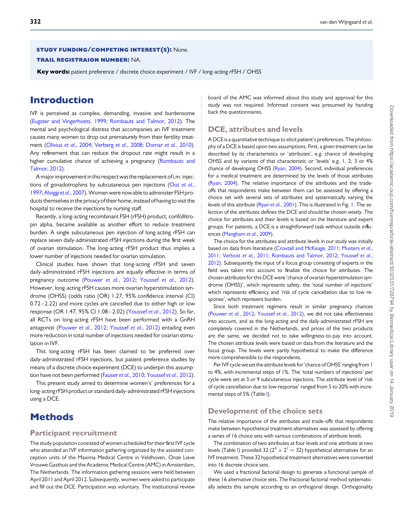#### study funding/competing interest(s): None.

#### trail registraion number: NA.

Key words: patient preference / discrete choice experiment / IVF / long-acting rFSH / OHSS

### Introduction

IVF is perceived as complex, demanding, invasive and burdensome [\(Eugster and Vingerhoets, 1999;](#page-5-0) [Rombauts and Talmor, 2012](#page-6-0)). The mental and psychological distress that accompanies an IVF treatment causes many women to drop out prematurely from their fertility treatment ([Olivius](#page-6-0) et al., 2004; [Verberg](#page-6-0) et al., 2008; [Domar](#page-5-0) et al., 2010). Any refinement that can reduce the dropout rate might result in a higher cumulative chance of achieving a pregnancy ([Rombauts and](#page-6-0) [Talmor, 2012](#page-6-0)).

Amajor improvement in this respect was the replacement of i.m. injections of gonadotrophins by subcutaneous pen injections (Out [et al.](#page-6-0), [1997](#page-6-0);[Alviggi](#page-5-0) et al., 2007).Women were now able to administer FSH products themselves in the privacy of their home, instead of having to visit the hospital to receive the injections by nursing staff.

Recently, a long-acting recombinant FSH (rFSH) product, corifollitropin alpha, became available as another effort to reduce treatment burden. A single subcutaneous pen injection of long-acting rFSH can replace seven daily-administrated rFSH injections during the first week of ovarian stimulation. The long-acting rFSH product thus implies a lower number of injections needed for ovarian stimulation.

Clinical studies have shown that long-acting rFSH and seven daily-administrated rFSH injections are equally effective in terms of pregnancy outcome [\(Pouwer](#page-6-0) et al., 2012; [Youssef](#page-6-0) et al., 2012). However, long-acting rFSH causes more ovarian hyperstimulation syndrome (OHSS) (odds ratio (OR) 1.27, 95% confidence interval (CI) 0.72 – 2.22) and more cycles are cancelled due to either high or low response (OR 1.47, 95% CI 1.08 – 2.02) ([Youssef](#page-6-0) et al., 2012). So far, all RCTs on long-acting rFSH have been performed with a GnRH antagonist [\(Pouwer](#page-6-0) et al., 2012; [Youssef](#page-6-0) et al., 2012) entailing even more reduction in total number of injections needed for ovarian stimulation in IVF.

This long-acting rFSH has been claimed to be preferred over daily-administrated rFSH injections, but patient preference studies by means of a discrete choice experiment (DCE) to underpin this assumption have not been performed [\(Fauser](#page-5-0) et al., 2010; [Youssef](#page-6-0) et al., 2012).

This present study aimed to determine women's' preferences for a long-acting rFSH product or standard daily-administrated rFSH injections using a DCE.

### **Methods**

#### Participant recruitment

The study population consisted of women scheduled for their first IVF cycle who attended an IVF information gathering organized by the assisted conception units of the Maxima Medical Centre in Veldhoven, Onze Lieve Vrouwe Gasthuis and the Academic Medical Centre (AMC) in Amsterdam, The Netherlands. The information gathering sessions were held between April 2011 and April 2012. Subsequently, women were asked to participate and fill out the DCE. Participation was voluntary. The institutional review board of the AMC was informed about this study and approval for this study was not required. Informed consent was presumed by handing back the questionnaires.

#### DCE, attributes and levels

A DCE is a quantitative technique to elicit patient's preferences. The philosophy of a DCE is based upon two assumptions. First, a given treatment can be described by its characteristics or 'attributes', e.g. chance of developing OHSS and by variants of that characteristic or 'levels' e.g. 1, 2, 3 or 4% chance of developing OHSS [\(Ryan, 2004\)](#page-6-0). Second, individual preferences for a medical treatment are determined by the levels of those attributes [\(Ryan, 2004\)](#page-6-0). The relative importance of the attributes and the tradeoffs that respondents make between them can be assessed by offering a choice set with several sets of attributes and systematically varying the levels of this attribute (Ryan et al.[, 2001\)](#page-6-0). This is illustrated in Fig. [1.](#page-2-0) The selection of the attributes defines the DCE and should be chosen wisely. The choice for attributes and their levels is based on the literature and expert groups. For patients, a DCE is a straightforward task without outside influences [\(Mangham](#page-6-0) et al., 2009).

The choice for the attributes and attribute levels in our study was initially based on data from literature [\(Croxtall and McKeage, 2011;](#page-5-0) [Musters](#page-6-0) et al., [2011;](#page-6-0) [Verbost](#page-6-0) et al., 2011; [Rombauts and Talmor, 2012;](#page-6-0) [Youssef](#page-6-0) et al., [2012\)](#page-6-0). Subsequently the input of a focus group consisting of experts in the field was taken into account to finalize the choice for attributes. The chosen attributes for this DCE were 'chance of ovarian hyperstimulation syndrome (OHSS)', which represents safety, the 'total number of injections' which represents efficiency and 'risk of cycle cancellation due to low response', which represent burden.

Since both treatment regimens result in similar pregnancy chances [\(Pouwer](#page-6-0) et al., 2012; [Youssef](#page-6-0) et al., 2012), we did not take effectiveness into account, and as the long-acting and the daily-administrated rFSH are completely covered in the Netherlands, and prices of the two products are the same, we decided not to take willingness-to-pay into account. The chosen attribute levels were based on data from the literature and the focus group. The levels were partly hypothetical to make the difference more comprehensible to the respondents.

Per IVF cycle we set the attribute levels for 'chance ofOHSS' ranging from 1 to 4%, with incremental steps of 1%. The 'total numbers of injections' per cycle were set at 3 or 9 subcutaneous injections. The attribute level of 'risk of cycle cancellation due to low response' ranged from 5 to 20% with incremental steps of 5% (Table [I\)](#page-2-0).

#### Development of the choice sets

The relative importance of the attributes and trade-offs that respondents make between hypothetical treatment alternatives was assessed by offering a series of 16 choice sets with various combinations of attribute levels.

The combination of two attributes at four levels and one attribute at two levels (Table [I\)](#page-2-0) provided 32 ( $2^4 \times 2^1 = 32$ ) hypothetical alternatives for an IVF treatment. These 32 hypothetical treatment alternatives were converted into 16 discrete choice sets.

We used a fractional factorial design to generate a functional sample of these 16 alternative choice sets. The fractional factorial method systematically selects this sample according to an orthogonal design. Orthogonality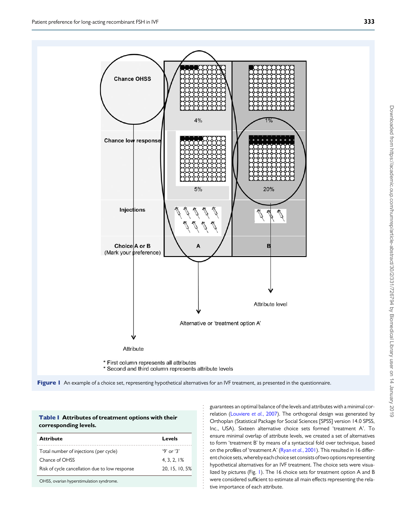<span id="page-2-0"></span>



| <b>Table   Attributes of treatment options with their</b> |
|-----------------------------------------------------------|
| corresponding levels.                                     |

| <b>Attribute</b>                               | Levels         |
|------------------------------------------------|----------------|
| Total number of injections (per cycle)         | $9'$ or $3'$   |
| Chance of OHSS                                 | 4.3.2.1%       |
| Risk of cycle cancellation due to low response | 20, 15, 10, 5% |
| OHSS, ovarian hyperstimulation syndrome.       |                |

guarantees an optimal balance of the levels and attributes with a minimal cor-relation ([Louviere](#page-6-0) et al., 2007). The orthogonal design was generated by Orthoplan (Statistical Package for Social Sciences [SPSS] version 14.0 SPSS, Inc., USA). Sixteen alternative choice sets formed 'treatment A'. To ensure minimal overlap of attribute levels, we created a set of alternatives to form 'treatment B' by means of a syntactical fold over technique, based on the profiles of 'treatment A' (Ryan et al.[, 2001](#page-6-0)). This resulted in 16 different choice sets, wherebyeach choice set consists of two options representing hypothetical alternatives for an IVF treatment. The choice sets were visualized by pictures (Fig. 1). The 16 choice sets for treatment option A and B were considered sufficient to estimate all main effects representing the relative importance of each attribute.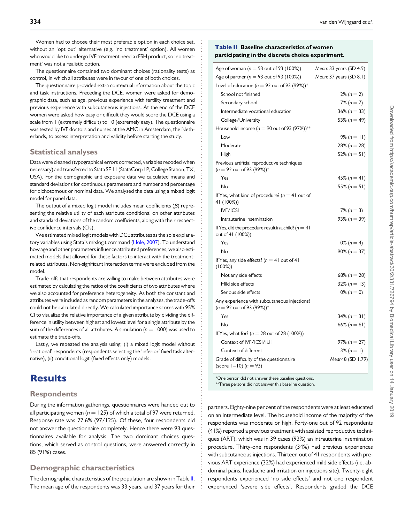Women had to choose their most preferable option in each choice set. without an 'opt out' alternative (e.g. 'no treatment' option). All women who would like to undergo IVF treatment need a rFSH product, so 'no treatment' was not a realistic option.

The questionnaire contained two dominant choices (rationality tests) as control, in which all attributes were in favour of one of both choices.

The questionnaire provided extra contextual information about the topic and task instructions. Preceding the DCE, women were asked for demographic data, such as age, previous experience with fertility treatment and previous experience with subcutaneous injections. At the end of the DCE women were asked how easy or difficult they would score the DCE using a scale from 1 (extremely difficult) to 10 (extremely easy). The questionnaire was tested by IVF doctors and nurses at the AMC in Amsterdam, the Netherlands, to assess interpretation and validity before starting the study.

#### Statistical analyses

Data were cleaned (typographical errors corrected, variables recoded when necessary) and transferred to Stata SE 11 (StataCorp LP, College Station, TX, USA). For the demographic and exposure data we calculated means and standard deviations for continuous parameters and number and percentage for dichotomous or nominal data. We analysed the data using a mixed logit model for panel data.

The output of a mixed logit model includes mean coefficients  $(\beta)$  representing the relative utility of each attribute conditional on other attributes and standard deviations of the random coefficients, along with their respective confidence intervals (CIs).

We estimated mixed logit models with DCE attributes as the sole explanatory variables using Stata's mixlogit command [\(Hole, 2007\)](#page-5-0). To understand how age and other parameters influence attributed preferences, we also estimated models that allowed for these factors to interact with the treatmentrelated attributes. Non-significant interaction terms were excluded from the model.

Trade-offs that respondents are willing to make between attributes were estimated by calculating the ratios of the coefficients of two attributes where we also accounted for preference heterogeneity. As both the constant and attributes were included as random parameters in the analyses, the trade-offs could not be calculated directly. We calculated importance scores with 95% CI to visualize the relative importance of a given attribute by dividing the difference in utility between highest and lowest level for a single attribute by the sum of the differences of all attributes. A simulation ( $n = 1000$ ) was used to estimate the trade-offs.

Lastly, we repeated the analysis using: (i) a mixed logit model without 'irrational' respondents (respondents selecting the 'inferior' fixed task alternative), (ii) conditional logit (fixed effects only) models.

# **Results**

#### **Respondents**

During the information gatherings, questionnaires were handed out to all participating women ( $n = 125$ ) of which a total of 97 were returned. Response rate was 77.6% (97/125). Of these, four respondents did not answer the questionnaire completely. Hence there were 93 questionnaires available for analysis. The two dominant choices questions, which served as control questions, were answered correctly in 85 (91%) cases.

#### Demographic characteristics

The demographic characteristics of the population are shown in Table II. The mean age of the respondents was 33 years, and 37 years for their

#### Table II Baseline characteristics of women participating in the discrete choice experiment.

| Age of woman ( $n = 93$ out of 93 (100%))                                              | Mean: 33 years (SD 4.9) |
|----------------------------------------------------------------------------------------|-------------------------|
| Age of partner ( $n = 93$ out of 93 (100%))                                            | Mean: 37 years (SD 8.1) |
| Level of education ( $n = 92$ out of 93 (99%))*                                        |                         |
| School not finished                                                                    | $2\% (n = 2)$           |
| Secondary school                                                                       | $7\%$ (n = 7)           |
| Intermediate vocational education                                                      | $36\% (n = 33)$         |
| College/University                                                                     | 53% ( $n = 49$ )        |
| Household income ( $n = 90$ out of 93 (97%))**                                         |                         |
| Low                                                                                    | $9\% (n = 11)$          |
| Moderate                                                                               | $28\% (n = 28)$         |
| High                                                                                   | 52% ( $n = 51$ )        |
| Previous artificial reproductive techniques<br>$(n = 92 \text{ out of } 93 (99\%))^*$  |                         |
| Yes                                                                                    | 45% ( $n = 41$ )        |
| No                                                                                     | 55% ( $n = 51$ )        |
| If Yes, what kind of procedure? ( $n = 41$ out of<br>41 (100%))                        |                         |
| <b>IVF/ICSI</b>                                                                        | 7% ( $n = 3$ )          |
| Intrauterine insemination                                                              | 93% ( $n = 39$ )        |
| If Yes, did the procedure result in a child? ( $n = 41$<br>out of 41 (100%))           |                         |
| Yes                                                                                    | $10\% (n = 4)$          |
| No                                                                                     | $90\% (n = 37)$         |
| If Yes, any side effects? ( $n = 41$ out of 41<br>(100%)                               |                         |
| Not any side effects                                                                   | 68% ( $n = 28$ )        |
| Mild side effects                                                                      | $32\% (n = 13)$         |
| Serious side effects                                                                   | $0\% (n = 0)$           |
| Any experience with subcutaneous injections?<br>$(n = 92 \text{ out of } 93 (99\%))^*$ |                         |
| Yes                                                                                    | $34\% (n = 31)$         |
| No                                                                                     | 66% ( $n = 61$ )        |
| If Yes, what for? ( $n = 28$ out of 28 (100%))                                         |                         |
| Context of IVF/ICSI/IUI                                                                | $97\% (n = 27)$         |
| Context of different                                                                   | $3\% (n = 1)$           |
| Grade of difficulty of the questionnaire<br>(score $1 - 10$ ) ( $n = 93$ )             | Mean: 8 (SD 1.79)       |

\*One person did not answer these baseline questions. \*\*Three persons did not answer this baseline question.

partners. Eighty-nine per cent of the respondents were at least educated on an intermediate level. The household income of the majority of the respondents was moderate or high. Forty-one out of 92 respondents (41%) reported a previous treatment with assisted reproductive techniques (ART), which was in 39 cases (93%) an intrauterine insemination procedure. Thirty-one respondents (34%) had previous experiences with subcutaneous injections. Thirteen out of 41 respondents with previous ART experience (32%) had experienced mild side effects (i.e. abdominal pains, headache and irritation on injections site). Twenty-eight respondents experienced 'no side effects' and not one respondent experienced 'severe side effects'. Respondents graded the DCE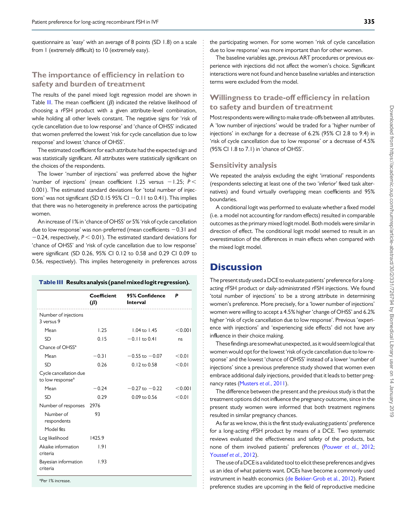questionnaire as 'easy' with an average of 8 points (SD 1.8) on a scale from 1 (extremely difficult) to 10 (extremely easy).

#### The importance of efficiency in relation to safety and burden of treatment

The results of the panel mixed logit regression model are shown in Table III. The mean coefficient ( $\beta$ ) indicated the relative likelihood of choosing a rFSH product with a given attribute-level combination, while holding all other levels constant. The negative signs for 'risk of cycle cancellation due to low response' and 'chance of OHSS' indicated that women preferred the lowest 'risk for cycle cancellation due to low response' and lowest 'chance of OHSS'.

The estimated coefficient for each attribute had the expected sign and was statistically significant. All attributes were statistically significant on the choices of the respondents.

The lower 'number of injections' was preferred above the higher 'number of injections' (mean coefficient 1.25 versus  $-1.25$ ;  $P <$ 0.001). The estimated standard deviations for 'total number of injections' was not significant (SD 0.15 95% CI  $-$  0.11 to 0.41). This implies that there was no heterogeneity in preference across the participating women.

An increase of 1% in 'chance of OHSS' or 5% 'risk of cycle cancellation due to low response' was non-preferred (mean coefficients  $-0.31$  and  $-0.24$ , respectively,  $P < 0.01$ ). The estimated standard deviations for 'chance of OHSS' and 'risk of cycle cancellation due to low response' were significant (SD 0.26, 95% CI 0.12 to 0.58 and 0.29 CI 0.09 to 0.56, respectively). This implies heterogeneity in preferences across

#### Table III Results analysis (panelmixed logit regression).

|                                                        | Coefficient<br>$(\beta)$ | 95% Confidence<br><b>Interval</b><br>. | P       |
|--------------------------------------------------------|--------------------------|----------------------------------------|---------|
| Number of injections                                   |                          |                                        |         |
| 3 versus 9                                             |                          |                                        |         |
| Mean                                                   | 1.25                     | $1.04$ to $1.45$                       | < 0.001 |
| <b>SD</b>                                              | 0.15                     | $-0.11$ to 0.41                        | ns      |
| Chance of OHSS <sup>a</sup>                            |                          |                                        |         |
| Mean                                                   | $-0.31$                  | $-0.55$ to $-0.07$                     | < 0.01  |
| <b>SD</b>                                              | 0.26                     | $0.12$ to $0.58$                       | < 0.01  |
| Cycle cancellation due<br>to low response <sup>a</sup> |                          |                                        |         |
| Mean                                                   | $-0.24$                  | $-0.27$ to $-0.22$                     | < 0.001 |
| <b>SD</b>                                              | 0.29                     | 0.09 to 0.56                           | < 0.01  |
| Number of responses                                    | 2976                     |                                        |         |
| Number of<br>respondents                               | 93                       |                                        |         |
| Model fits                                             |                          |                                        |         |
| Log likelihood                                         | 1425.9                   |                                        |         |
| Akaike information<br>criteria                         | 1.91                     |                                        |         |
| Bayesian information<br>criteria                       | 1.93                     |                                        |         |

<sup>a</sup>Per 1% increase.

the participating women. For some women 'risk of cycle cancellation due to low response' was more important than for other women.

The baseline variables age, previous ART procedures or previous experience with injections did not affect the women's choice. Significant interactions were not found and hence baseline variables and interaction terms were excluded from the model.

### Willingness to trade-off efficiency in relation to safety and burden of treatment

Most respondents were willing to make trade-offs between all attributes. A 'low number of injections' would be traded for a 'higher number of injections' in exchange for a decrease of 6.2% (95% CI 2.8 to 9.4) in 'risk of cycle cancellation due to low response' or a decrease of 4.5% (95% CI 1.8 to 7.1) in 'chance of OHSS'.

#### Sensitivity analysis

We repeated the analysis excluding the eight 'irrational' respondents (respondents selecting at least one of the two 'inferior' fixed task alternatives) and found virtually overlapping mean coefficients and 95% boundaries.

A conditional logit was performed to evaluate whether a fixed model (i.e. a model not accounting for random effects) resulted in comparable outcomes as the primary mixed logit model. Both models were similar in direction of effect. The conditional logit model seemed to result in an overestimation of the differences in main effects when compared with the mixed logit model.

### **Discussion**

The present study used a DCE to evaluate patients' preference for a longacting rFSH product or daily-administrated rFSH injections. We found 'total number of injections' to be a strong attribute in determining women's preference. More precisely, for a 'lower number of injections' women were willing to accept a 4.5% higher 'change of OHSS' and 6.2% higher 'risk of cycle cancellation due to low response'. Previous 'experience with injections' and 'experiencing side effects' did not have any influence in their choice making.

These findings are somewhat unexpected, as it would seem logical that women would opt for the lowest 'risk of cycle cancellation due to low response' and the lowest 'chance of OHSS' instead of a lower 'number of injections' since a previous preference study showed that women even embrace additional daily injections, provided that it leads to better preg-nancy rates [\(Musters](#page-6-0) et al., 2011).

The difference between the present and the previous study is that the treatment options did not influence the pregnancy outcome, since in the present study women were informed that both treatment regimens resulted in similar pregnancy chances.

As far as we know, this is the first study evaluating patients' preference for a long-acting rFSH product by means of a DCE. Two systematic reviews evaluated the effectiveness and safety of the products, but none of them involved patients' preferences [\(Pouwer](#page-6-0) et al., 2012; [Youssef](#page-6-0) et al., 2012).

The use of a DCE is a validated tool to elicit these preferences and gives us an idea of what patients want. DCEs have become a commonly used instrument in health economics [\(de Bekker-Grob et al](#page-5-0)., 2012). Patient preference studies are upcoming in the field of reproductive medicine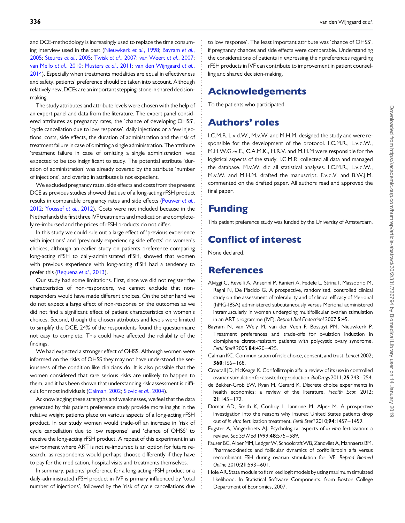<span id="page-5-0"></span>and DCE-methodology is increasingly used to replace the time consum-ing interview used in the past ([Nieuwkerk](#page-6-0) et al., 1998; Bayram et al., 2005; [Steures](#page-6-0) et al., 2005; Twisk et al.[, 2007](#page-6-0); [van Weert](#page-6-0) et al., 2007; [van Mello](#page-6-0) et al., 2010; [Musters](#page-6-0) et al., 2011; [van den Wijngaard](#page-6-0) et al., [2014](#page-6-0)). Especially when treatments modalities are equal in effectiveness and safety, patients' preference should be taken into account. Although relatively new, DCEs are an important stepping-stone in shared decisionmaking.

The study attributes and attribute levels were chosen with the help of an expert panel and data from the literature. The expert panel considered attributes as pregnancy rates, the 'chance of developing OHSS', 'cycle cancellation due to low response', daily injections or a few injections, costs, side effects, the duration of administration and the risk of treatment failure in case of omitting a single administration. The attribute 'treatment failure in case of omitting a single administration' was expected to be too insignificant to study. The potential attribute 'duration of administration' was already covered by the attribute 'number of injections', and overlap in attributes is not expedient.

We excluded pregnancy rates, side effects and costs from the present DCE as previous studies showed that use of a long-acting rFSH product results in comparable pregnancy rates and side effects [\(Pouwer](#page-6-0) et al., [2012](#page-6-0); [Youssef](#page-6-0) et al., 2012). Costs were not included because in the Netherlands the first three IVF treatments and medication are completely re-imbursed and the prices of rFSH products do not differ.

In this study we could rule out a large effect of 'previous experience with injections' and 'previously experiencing side effects' on women's choices, although an earlier study on patients preference comparing long-acting rFSH to daily-administrated rFSH, showed that women with previous experience with long-acting rFSH had a tendency to prefer this [\(Requena](#page-6-0) et al., 2013).

Our study had some limitations. First, since we did not register the characteristics of non-responders, we cannot exclude that nonresponders would have made different choices. On the other hand we do not expect a large effect of non-response on the outcomes as we did not find a significant effect of patient characteristics on women's choices. Second, though the chosen attributes and levels were limited to simplify the DCE, 24% of the respondents found the questionnaire not easy to complete. This could have affected the reliability of the findings.

We had expected a stronger effect of OHSS. Although women were informed on the risks of OHSS they may not have understood the seriousness of the condition like clinicians do. It is also possible that the women considered that rare serious risks are unlikely to happen to them, and it has been shown that understanding risk assessment is difficult for most individuals (Calman, 2002; Slovic et al.[, 2004](#page-6-0)).

Acknowledging these strengths and weaknesses, we feel that the data generated by this patient preference study provide more insight in the relative weight patients place on various aspects of a long-acting rFSH product. In our study women would trade-off an increase in 'risk of cycle cancellation due to low response' and 'chance of OHSS' to receive the long-acting rFSH product. A repeat of this experiment in an environment where ART is not re-imbursed is an option for future research, as respondents would perhaps choose differently if they have to pay for the medication, hospital visits and treatments themselves.

In summary, patients' preference for a long-acting rFSH product or a daily-administrated rFSH product in IVF is primary influenced by 'total number of injections', followed by the 'risk of cycle cancellations due

to low response'. The least important attribute was 'chance of OHSS', if pregnancy chances and side effects were comparable. Understanding the considerations of patients in expressing their preferences regarding rFSH products in IVF can contribute to improvement in patient counselling and shared decision-making.

# Acknowledgements

To the patients who participated.

# Authors' roles

I.C.M.R. L.v.d.W., M.v.W. and M.H.M. designed the study and were responsible for the development of the protocol. I.C.M.R., L.v.d.W., M.H.W.G.-v.E., C.A.M.K., H.R.V. and M.H.M were responsible for the logistical aspects of the study. I.C.M.R. collected all data and managed the database. M.v.W. did all statistical analyses. I.C.M.R., L.v.d.W., M.v.W. and M.H.M. drafted the manuscript. F.v.d.V. and B.W.J.M. commented on the drafted paper. All authors read and approved the final paper.

# Funding

This patient preference study was funded by the University of Amsterdam.

# Conflict of interest

None declared.

# **References**

- Alviggi C, Revelli A, Anserini P, Ranieri A, Fedele L, Strina I, Massobrio M, Ragni N, De Placido G. A prospective, randomised, controlled clinical study on the assessment of tolerability and of clinical efficacy of Merional (hMG-IBSA) administered subcutaneously versus Merional administered intramuscularly in women undergoing multifollicular ovarian stimulation in an ART programme (IVF). Reprod Biol Endocrinol 2007;5:45.
- Bayram N, van Wely M, van der Veen F, Bossuyt PM, Nieuwkerk P. Treatment preferences and trade-offs for ovulation induction in clomiphene citrate-resistant patients with polycystic ovary syndrome. Fertil Steril 2005;84:420-425.
- Calman KC. Communication of risk: choice, consent, and trust. Lancet 2002; 360:166– 168.
- Croxtall JD, McKeage K. Corifollitropin alfa: a review of its use in controlled ovarian stimulation for assisted reproduction.BioDrugs 2011;25:243– 254.
- de Bekker-Grob EW, Ryan M, Gerard K. Discrete choice experiments in health economics: a review of the literature. Health Econ 2012;  $21:145 - 172.$
- Domar AD, Smith K, Conboy L, Iannone M, Alper M. A prospective investigation into the reasons why insured United States patients drop out of in vitro fertilization treatment. Fertil Steril 2010;94:1457-1459.
- Eugster A, Vingerhoets AJ. Psychological aspects of in vitro fertilization: a review. Soc Sci Med 1999;48:575 – 589.
- Fauser BC, Alper MM, Ledger W, Schoolcraft WB, Zandvliet A, Mannaerts BM. Pharmacokinetics and follicular dynamics of corifollitropin alfa versus recombinant FSH during ovarian stimulation for IVF. Reprod Biomed Online 2010;21:593-601.
- Hole AR. Stata module to fit mixed logit models by using maximum simulated likelihood. In Statistical Software Components. from Boston College Department of Economics, 2007.